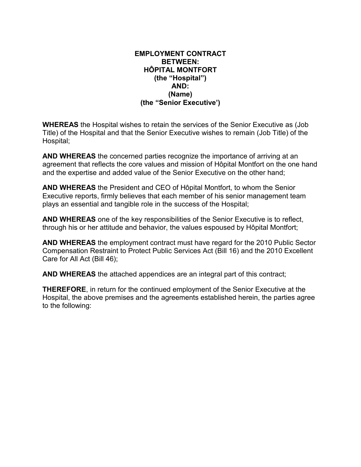#### **EMPLOYMENT CONTRACT BETWEEN: HÔPITAL MONTFORT (the "Hospital") AND: (Name) (the "Senior Executive')**

**WHEREAS** the Hospital wishes to retain the services of the Senior Executive as (Job Title) of the Hospital and that the Senior Executive wishes to remain (Job Title) of the Hospital;

**AND WHEREAS** the concerned parties recognize the importance of arriving at an agreement that reflects the core values and mission of Hôpital Montfort on the one hand and the expertise and added value of the Senior Executive on the other hand;

**AND WHEREAS** the President and CEO of Hôpital Montfort, to whom the Senior Executive reports, firmly believes that each member of his senior management team plays an essential and tangible role in the success of the Hospital;

**AND WHEREAS** one of the key responsibilities of the Senior Executive is to reflect, through his or her attitude and behavior, the values espoused by Hôpital Montfort;

**AND WHEREAS** the employment contract must have regard for the 2010 Public Sector Compensation Restraint to Protect Public Services Act (Bill 16) and the 2010 Excellent Care for All Act (Bill 46);

**AND WHEREAS** the attached appendices are an integral part of this contract;

**THEREFORE**, in return for the continued employment of the Senior Executive at the Hospital, the above premises and the agreements established herein, the parties agree to the following: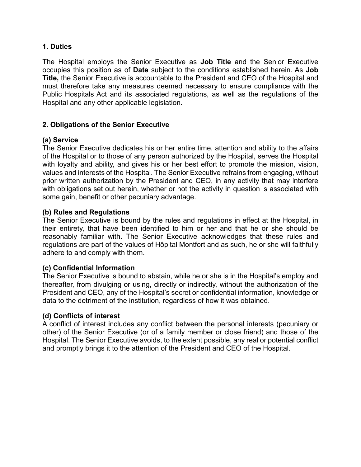## **1. Duties**

The Hospital employs the Senior Executive as **Job Title** and the Senior Executive occupies this position as of **Date** subject to the conditions established herein. As **Job Title,** the Senior Executive is accountable to the President and CEO of the Hospital and must therefore take any measures deemed necessary to ensure compliance with the Public Hospitals Act and its associated regulations, as well as the regulations of the Hospital and any other applicable legislation.

#### **2. Obligations of the Senior Executive**

## **(a) Service**

The Senior Executive dedicates his or her entire time, attention and ability to the affairs of the Hospital or to those of any person authorized by the Hospital, serves the Hospital with loyalty and ability, and gives his or her best effort to promote the mission, vision, values and interests of the Hospital. The Senior Executive refrains from engaging, without prior written authorization by the President and CEO, in any activity that may interfere with obligations set out herein, whether or not the activity in question is associated with some gain, benefit or other pecuniary advantage.

#### **(b) Rules and Regulations**

The Senior Executive is bound by the rules and regulations in effect at the Hospital, in their entirety, that have been identified to him or her and that he or she should be reasonably familiar with. The Senior Executive acknowledges that these rules and regulations are part of the values of Hôpital Montfort and as such, he or she will faithfully adhere to and comply with them.

#### **(c) Confidential Information**

The Senior Executive is bound to abstain, while he or she is in the Hospital's employ and thereafter, from divulging or using, directly or indirectly, without the authorization of the President and CEO, any of the Hospital's secret or confidential information, knowledge or data to the detriment of the institution, regardless of how it was obtained.

#### **(d) Conflicts of interest**

A conflict of interest includes any conflict between the personal interests (pecuniary or other) of the Senior Executive (or of a family member or close friend) and those of the Hospital. The Senior Executive avoids, to the extent possible, any real or potential conflict and promptly brings it to the attention of the President and CEO of the Hospital.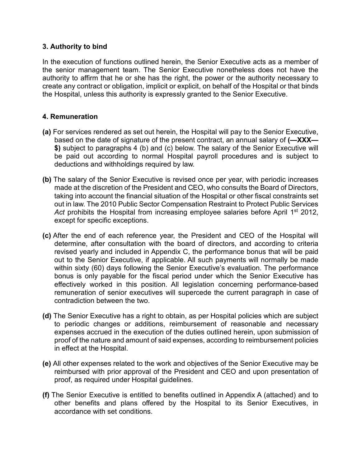# **3. Authority to bind**

In the execution of functions outlined herein, the Senior Executive acts as a member of the senior management team. The Senior Executive nonetheless does not have the authority to affirm that he or she has the right, the power or the authority necessary to create any contract or obligation, implicit or explicit, on behalf of the Hospital or that binds the Hospital, unless this authority is expressly granted to the Senior Executive.

# **4. Remuneration**

- **(a)** For services rendered as set out herein, the Hospital will pay to the Senior Executive, based on the date of signature of the present contract, an annual salary of **(—XXX— \$)** subject to paragraphs 4 (b) and (c) below. The salary of the Senior Executive will be paid out according to normal Hospital payroll procedures and is subject to deductions and withholdings required by law.
- **(b)** The salary of the Senior Executive is revised once per year, with periodic increases made at the discretion of the President and CEO, who consults the Board of Directors, taking into account the financial situation of the Hospital or other fiscal constraints set out in law. The 2010 Public Sector Compensation Restraint to Protect Public Services Act prohibits the Hospital from increasing employee salaries before April 1<sup>st</sup> 2012, except for specific exceptions.
- **(c)** After the end of each reference year, the President and CEO of the Hospital will determine, after consultation with the board of directors, and according to criteria revised yearly and included in Appendix C, the performance bonus that will be paid out to the Senior Executive, if applicable. All such payments will normally be made within sixty (60) days following the Senior Executive's evaluation. The performance bonus is only payable for the fiscal period under which the Senior Executive has effectively worked in this position. All legislation concerning performance-based remuneration of senior executives will supercede the current paragraph in case of contradiction between the two.
- **(d)** The Senior Executive has a right to obtain, as per Hospital policies which are subject to periodic changes or additions, reimbursement of reasonable and necessary expenses accrued in the execution of the duties outlined herein, upon submission of proof of the nature and amount of said expenses, according to reimbursement policies in effect at the Hospital.
- **(e)** All other expenses related to the work and objectives of the Senior Executive may be reimbursed with prior approval of the President and CEO and upon presentation of proof, as required under Hospital guidelines.
- **(f)** The Senior Executive is entitled to benefits outlined in Appendix A (attached) and to other benefits and plans offered by the Hospital to its Senior Executives, in accordance with set conditions.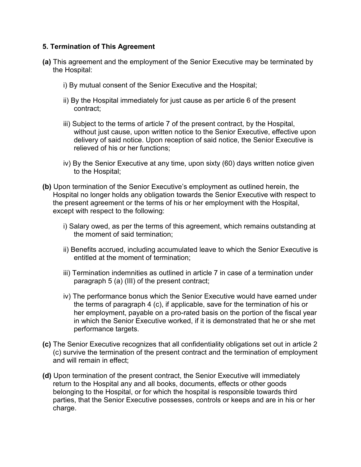# **5. Termination of This Agreement**

- **(a)** This agreement and the employment of the Senior Executive may be terminated by the Hospital:
	- i) By mutual consent of the Senior Executive and the Hospital;
	- ii) By the Hospital immediately for just cause as per article 6 of the present contract;
	- iii) Subject to the terms of article 7 of the present contract, by the Hospital, without just cause, upon written notice to the Senior Executive, effective upon delivery of said notice. Upon reception of said notice, the Senior Executive is relieved of his or her functions;
	- iv) By the Senior Executive at any time, upon sixty (60) days written notice given to the Hospital;
- **(b)** Upon termination of the Senior Executive's employment as outlined herein, the Hospital no longer holds any obligation towards the Senior Executive with respect to the present agreement or the terms of his or her employment with the Hospital, except with respect to the following:
	- i) Salary owed, as per the terms of this agreement, which remains outstanding at the moment of said termination;
	- ii) Benefits accrued, including accumulated leave to which the Senior Executive is entitled at the moment of termination;
	- iii) Termination indemnities as outlined in article 7 in case of a termination under paragraph 5 (a) (III) of the present contract;
	- iv) The performance bonus which the Senior Executive would have earned under the terms of paragraph 4 (c), if applicable, save for the termination of his or her employment, payable on a pro-rated basis on the portion of the fiscal year in which the Senior Executive worked, if it is demonstrated that he or she met performance targets.
- **(c)** The Senior Executive recognizes that all confidentiality obligations set out in article 2 (c) survive the termination of the present contract and the termination of employment and will remain in effect;
- **(d)** Upon termination of the present contract, the Senior Executive will immediately return to the Hospital any and all books, documents, effects or other goods belonging to the Hospital, or for which the hospital is responsible towards third parties, that the Senior Executive possesses, controls or keeps and are in his or her charge.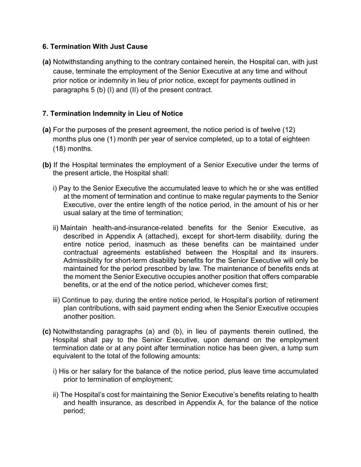# **6. Termination With Just Cause**

**(a)** Notwithstanding anything to the contrary contained herein, the Hospital can, with just cause, terminate the employment of the Senior Executive at any time and without prior notice or indemnity in lieu of prior notice, except for payments outlined in paragraphs 5 (b) (I) and (II) of the present contract.

# **7. Termination Indemnity in Lieu of Notice**

- **(a)** For the purposes of the present agreement, the notice period is of twelve (12) months plus one (1) month per year of service completed, up to a total of eighteen (18) months.
- **(b)** If the Hospital terminates the employment of a Senior Executive under the terms of the present article, the Hospital shall:
	- i) Pay to the Senior Executive the accumulated leave to which he or she was entitled at the moment of termination and continue to make regular payments to the Senior Executive, over the entire length of the notice period, in the amount of his or her usual salary at the time of termination;
	- ii) Maintain health-and-insurance-related benefits for the Senior Executive, as described in Appendix A (attached), except for short-term disability, during the entire notice period, inasmuch as these benefits can be maintained under contractual agreements established between the Hospital and its insurers. Admissibility for short-term disability benefits for the Senior Executive will only be maintained for the period prescribed by law. The maintenance of benefits ends at the moment the Senior Executive occupies another position that offers comparable benefits, or at the end of the notice period, whichever comes first;
	- iii) Continue to pay, during the entire notice period, le Hospital's portion of retirement plan contributions, with said payment ending when the Senior Executive occupies another position.
- **(c)** Notwithstanding paragraphs (a) and (b), in lieu of payments therein outlined, the Hospital shall pay to the Senior Executive, upon demand on the employment termination date or at any point after termination notice has been given, a lump sum equivalent to the total of the following amounts:
	- i) His or her salary for the balance of the notice period, plus leave time accumulated prior to termination of employment;
	- ii) The Hospital's cost for maintaining the Senior Executive's benefits relating to health and health insurance, as described in Appendix A, for the balance of the notice period;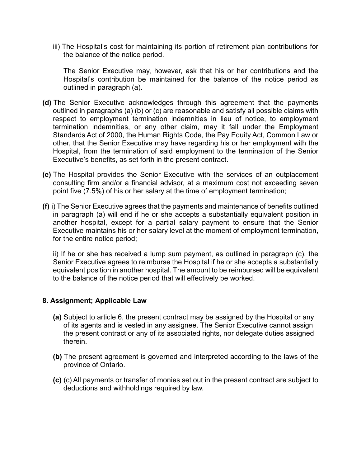iii) The Hospital's cost for maintaining its portion of retirement plan contributions for the balance of the notice period.

The Senior Executive may, however, ask that his or her contributions and the Hospital's contribution be maintained for the balance of the notice period as outlined in paragraph (a).

- **(d)** The Senior Executive acknowledges through this agreement that the payments outlined in paragraphs (a) (b) or (c) are reasonable and satisfy all possible claims with respect to employment termination indemnities in lieu of notice, to employment termination indemnities, or any other claim, may it fall under the Employment Standards Act of 2000, the Human Rights Code, the Pay Equity Act, Common Law or other, that the Senior Executive may have regarding his or her employment with the Hospital, from the termination of said employment to the termination of the Senior Executive's benefits, as set forth in the present contract.
- **(e)** The Hospital provides the Senior Executive with the services of an outplacement consulting firm and/or a financial advisor, at a maximum cost not exceeding seven point five (7.5%) of his or her salary at the time of employment termination;
- **(f)** i) The Senior Executive agrees that the payments and maintenance of benefits outlined in paragraph (a) will end if he or she accepts a substantially equivalent position in another hospital, except for a partial salary payment to ensure that the Senior Executive maintains his or her salary level at the moment of employment termination, for the entire notice period;

ii) If he or she has received a lump sum payment, as outlined in paragraph (c), the Senior Executive agrees to reimburse the Hospital if he or she accepts a substantially equivalent position in another hospital. The amount to be reimbursed will be equivalent to the balance of the notice period that will effectively be worked.

## **8. Assignment; Applicable Law**

- **(a)** Subject to article 6, the present contract may be assigned by the Hospital or any of its agents and is vested in any assignee. The Senior Executive cannot assign the present contract or any of its associated rights, nor delegate duties assigned therein.
- **(b)** The present agreement is governed and interpreted according to the laws of the province of Ontario.
- **(c)** (c) All payments or transfer of monies set out in the present contract are subject to deductions and withholdings required by law.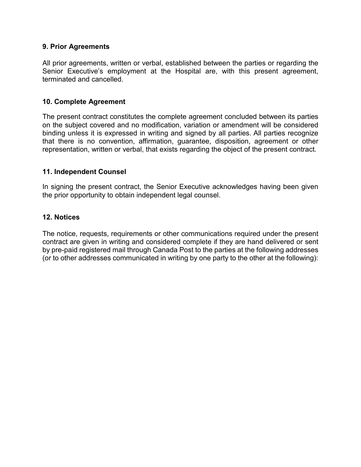## **9. Prior Agreements**

All prior agreements, written or verbal, established between the parties or regarding the Senior Executive's employment at the Hospital are, with this present agreement, terminated and cancelled.

# **10. Complete Agreement**

The present contract constitutes the complete agreement concluded between its parties on the subject covered and no modification, variation or amendment will be considered binding unless it is expressed in writing and signed by all parties. All parties recognize that there is no convention, affirmation, guarantee, disposition, agreement or other representation, written or verbal, that exists regarding the object of the present contract.

# **11. Independent Counsel**

In signing the present contract, the Senior Executive acknowledges having been given the prior opportunity to obtain independent legal counsel.

## **12. Notices**

The notice, requests, requirements or other communications required under the present contract are given in writing and considered complete if they are hand delivered or sent by pre-paid registered mail through Canada Post to the parties at the following addresses (or to other addresses communicated in writing by one party to the other at the following):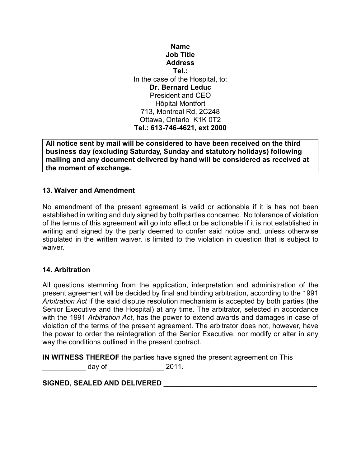# **Name Job Title Address Tel.:** In the case of the Hospital, to: **Dr. Bernard Leduc** President and CEO Hôpital Montfort 713, Montreal Rd, 2C248 Ottawa, Ontario K1K 0T2 **Tel.: 613-746-4621, ext 2000**

**All notice sent by mail will be considered to have been received on the third business day (excluding Saturday, Sunday and statutory holidays) following mailing and any document delivered by hand will be considered as received at the moment of exchange.**

# **13. Waiver and Amendment**

No amendment of the present agreement is valid or actionable if it is has not been established in writing and duly signed by both parties concerned. No tolerance of violation of the terms of this agreement will go into effect or be actionable if it is not established in writing and signed by the party deemed to confer said notice and, unless otherwise stipulated in the written waiver, is limited to the violation in question that is subject to waiver.

## **14. Arbitration**

All questions stemming from the application, interpretation and administration of the present agreement will be decided by final and binding arbitration, according to the 1991 *Arbitration Act* if the said dispute resolution mechanism is accepted by both parties (the Senior Executive and the Hospital) at any time. The arbitrator, selected in accordance with the 1991 *Arbitration Act*, has the power to extend awards and damages in case of violation of the terms of the present agreement. The arbitrator does not, however, have the power to order the reintegration of the Senior Executive, nor modify or alter in any way the conditions outlined in the present contract.

**IN WITNESS THEREOF** the parties have signed the present agreement on This

 $\frac{1}{2011}$ .

**SIGNED, SEALED AND DELIVERED** \_\_\_\_\_\_\_\_\_\_\_\_\_\_\_\_\_\_\_\_\_\_\_\_\_\_\_\_\_\_\_\_\_\_\_\_\_\_\_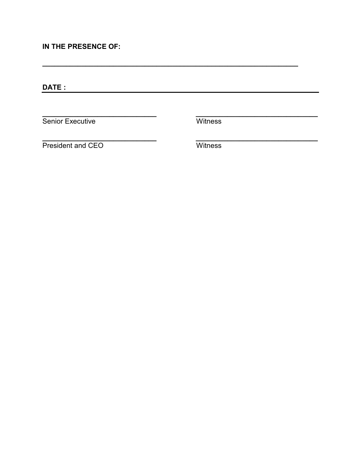IN THE PRESENCE OF:

Senior Executive

Witness

-

President and CEO

Witness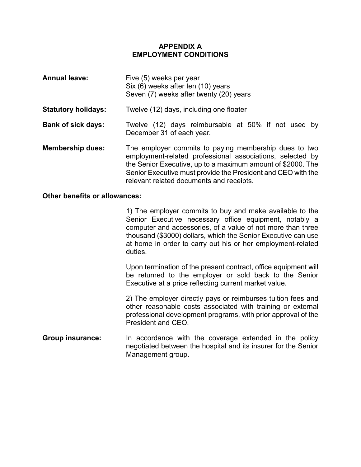## **APPENDIX A EMPLOYMENT CONDITIONS**

| <b>Annual leave:</b>       | Five (5) weeks per year<br>Six (6) weeks after ten (10) years<br>Seven (7) weeks after twenty (20) years                                                                                                                                                                                      |
|----------------------------|-----------------------------------------------------------------------------------------------------------------------------------------------------------------------------------------------------------------------------------------------------------------------------------------------|
| <b>Statutory holidays:</b> | Twelve (12) days, including one floater                                                                                                                                                                                                                                                       |
| <b>Bank of sick days:</b>  | Twelve (12) days reimbursable at 50% if not used by<br>December 31 of each year.                                                                                                                                                                                                              |
| <b>Membership dues:</b>    | The employer commits to paying membership dues to two<br>employment-related professional associations, selected by<br>the Senior Executive, up to a maximum amount of \$2000. The<br>Senior Executive must provide the President and CEO with the<br>relevant related documents and receipts. |

#### **Other benefits or allowances:**

1) The employer commits to buy and make available to the Senior Executive necessary office equipment, notably a computer and accessories, of a value of not more than three thousand (\$3000) dollars, which the Senior Executive can use at home in order to carry out his or her employment-related duties.

Upon termination of the present contract, office equipment will be returned to the employer or sold back to the Senior Executive at a price reflecting current market value.

2) The employer directly pays or reimburses tuition fees and other reasonable costs associated with training or external professional development programs, with prior approval of the President and CEO.

**Group insurance:** In accordance with the coverage extended in the policy negotiated between the hospital and its insurer for the Senior Management group.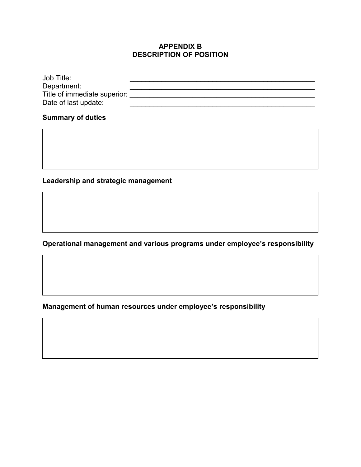# **APPENDIX B DESCRIPTION OF POSITION**

| Department:<br>Title of immediate superior: | Job Title: |  |
|---------------------------------------------|------------|--|
|                                             |            |  |
|                                             |            |  |
| Date of last update:                        |            |  |

# **Summary of duties**

# **Leadership and strategic management**

**Operational management and various programs under employee's responsibility**

**Management of human resources under employee's responsibility**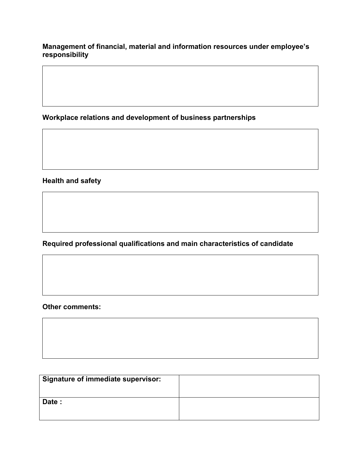**Management of financial, material and information resources under employee's responsibility**

**Workplace relations and development of business partnerships**

**Health and safety**

**Required professional qualifications and main characteristics of candidate**

**Other comments:**

| <b>Signature of immediate supervisor:</b> |  |
|-------------------------------------------|--|
| Date:                                     |  |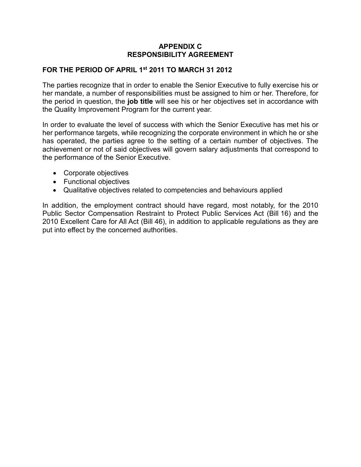# **APPENDIX C RESPONSIBILITY AGREEMENT**

# **FOR THE PERIOD OF APRIL 1st 2011 TO MARCH 31 2012**

The parties recognize that in order to enable the Senior Executive to fully exercise his or her mandate, a number of responsibilities must be assigned to him or her. Therefore, for the period in question, the **job title** will see his or her objectives set in accordance with the Quality Improvement Program for the current year.

In order to evaluate the level of success with which the Senior Executive has met his or her performance targets, while recognizing the corporate environment in which he or she has operated, the parties agree to the setting of a certain number of objectives. The achievement or not of said objectives will govern salary adjustments that correspond to the performance of the Senior Executive.

- Corporate objectives
- Functional objectives
- Qualitative objectives related to competencies and behaviours applied

In addition, the employment contract should have regard, most notably, for the 2010 Public Sector Compensation Restraint to Protect Public Services Act (Bill 16) and the 2010 Excellent Care for All Act (Bill 46), in addition to applicable regulations as they are put into effect by the concerned authorities.